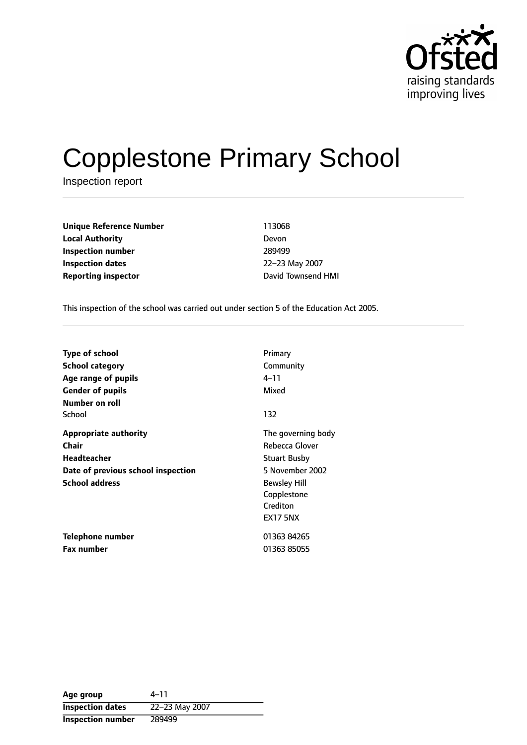

# Copplestone Primary School

Inspection report

**Unique Reference Number** 113068 **Local Authority** Devon **Inspection number** 289499 **Inspection dates** 22-23 May 2007 **Reporting inspector CONFIDENTIFY TO A REPORT OF THE PROOF OF THE PROOF OF THE PROOF OF THE PROOF OF THE PROOF OF THE PROOF OF THE PROOF OF THE PROOF OF THE PROOF OF THE PROOF OF THE PROOF OF THE PROOF OF THE PROOF OF TH** 

This inspection of the school was carried out under section 5 of the Education Act 2005.

| <b>Type of school</b>              | Primary             |
|------------------------------------|---------------------|
| School category                    | Community           |
| Age range of pupils                | $4 - 11$            |
| <b>Gender of pupils</b>            | Mixed               |
| Number on roll                     |                     |
| School                             | 132                 |
| <b>Appropriate authority</b>       | The governing body  |
| Chair                              | Rebecca Glover      |
| <b>Headteacher</b>                 | <b>Stuart Busby</b> |
| Date of previous school inspection | 5 November 2002     |
| <b>School address</b>              | <b>Bewsley Hill</b> |
|                                    | Copplestone         |
|                                    | Crediton            |
|                                    | <b>EX17 5NX</b>     |
| Telephone number                   | 01363 84265         |
| <b>Fax number</b>                  | 01363 85055         |

Age group  $4-11$ **Inspection dates** 22-23 May 2007 **Inspection number** 289499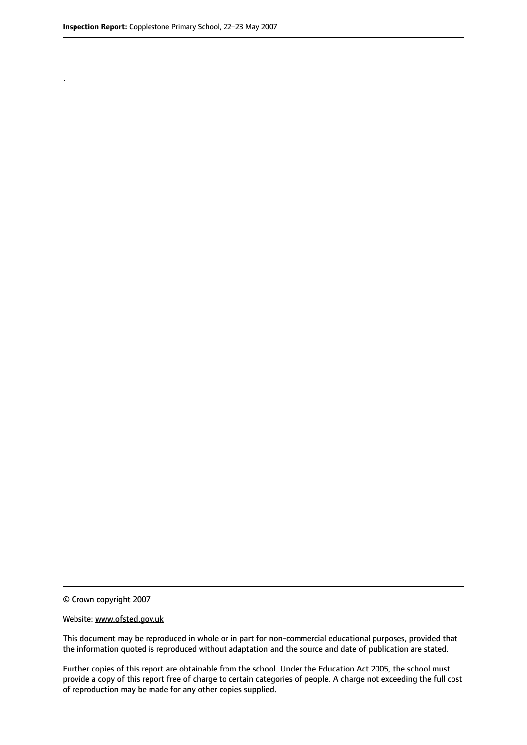.

© Crown copyright 2007

#### Website: www.ofsted.gov.uk

This document may be reproduced in whole or in part for non-commercial educational purposes, provided that the information quoted is reproduced without adaptation and the source and date of publication are stated.

Further copies of this report are obtainable from the school. Under the Education Act 2005, the school must provide a copy of this report free of charge to certain categories of people. A charge not exceeding the full cost of reproduction may be made for any other copies supplied.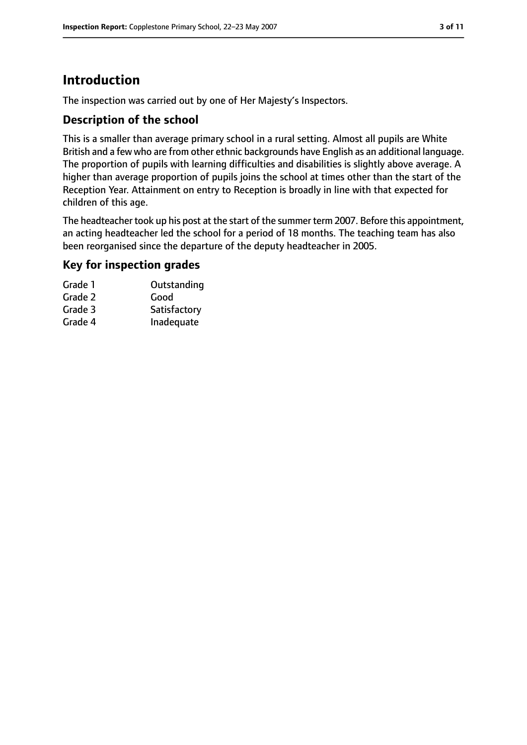### **Introduction**

The inspection was carried out by one of Her Majesty's Inspectors.

### **Description of the school**

This is a smaller than average primary school in a rural setting. Almost all pupils are White British and a few who are from other ethnic backgrounds have English as an additional language. The proportion of pupils with learning difficulties and disabilities is slightly above average. A higher than average proportion of pupils joins the school at times other than the start of the Reception Year. Attainment on entry to Reception is broadly in line with that expected for children of this age.

The headteacher took up his post at the start of the summer term 2007. Before this appointment, an acting headteacher led the school for a period of 18 months. The teaching team has also been reorganised since the departure of the deputy headteacher in 2005.

### **Key for inspection grades**

| Grade 1 | Outstanding  |
|---------|--------------|
| Grade 2 | Good         |
| Grade 3 | Satisfactory |
| Grade 4 | Inadequate   |
|         |              |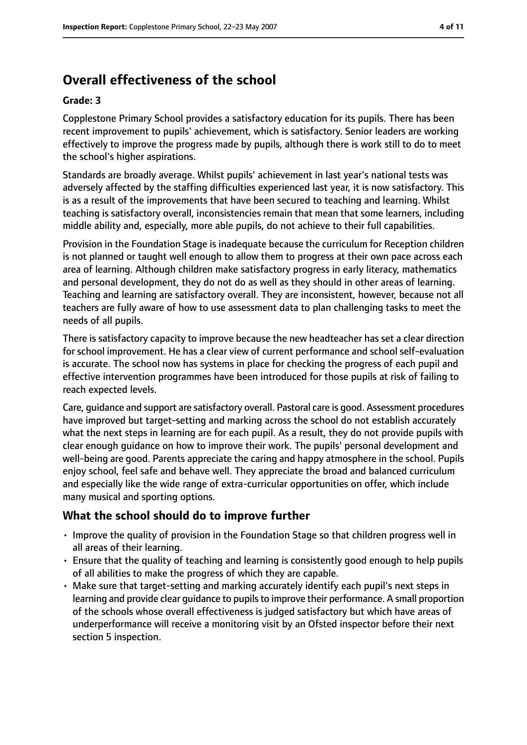### **Overall effectiveness of the school**

#### **Grade: 3**

Copplestone Primary School provides a satisfactory education for its pupils. There has been recent improvement to pupils' achievement, which is satisfactory. Senior leaders are working effectively to improve the progress made by pupils, although there is work still to do to meet the school's higher aspirations.

Standards are broadly average. Whilst pupils' achievement in last year's national tests was adversely affected by the staffing difficulties experienced last year, it is now satisfactory. This is as a result of the improvements that have been secured to teaching and learning. Whilst teaching is satisfactory overall, inconsistencies remain that mean that some learners, including middle ability and, especially, more able pupils, do not achieve to their full capabilities.

Provision in the Foundation Stage is inadequate because the curriculum for Reception children is not planned or taught well enough to allow them to progress at their own pace across each area of learning. Although children make satisfactory progress in early literacy, mathematics and personal development, they do not do as well as they should in other areas of learning. Teaching and learning are satisfactory overall. They are inconsistent, however, because not all teachers are fully aware of how to use assessment data to plan challenging tasks to meet the needs of all pupils.

There is satisfactory capacity to improve because the new headteacher has set a clear direction for school improvement. He has a clear view of current performance and school self-evaluation is accurate. The school now has systems in place for checking the progress of each pupil and effective intervention programmes have been introduced for those pupils at risk of failing to reach expected levels.

Care, guidance and support are satisfactory overall. Pastoral care is good. Assessment procedures have improved but target-setting and marking across the school do not establish accurately what the next steps in learning are for each pupil. As a result, they do not provide pupils with clear enough guidance on how to improve their work. The pupils' personal development and well-being are good. Parents appreciate the caring and happy atmosphere in the school. Pupils enjoy school, feel safe and behave well. They appreciate the broad and balanced curriculum and especially like the wide range of extra-curricular opportunities on offer, which include many musical and sporting options.

#### **What the school should do to improve further**

- Improve the quality of provision in the Foundation Stage so that children progress well in all areas of their learning.
- Ensure that the quality of teaching and learning is consistently good enough to help pupils of all abilities to make the progress of which they are capable.
- Make sure that target-setting and marking accurately identify each pupil's next steps in learning and provide clear guidance to pupils to improve their performance. A small proportion of the schools whose overall effectiveness is judged satisfactory but which have areas of underperformance will receive a monitoring visit by an Ofsted inspector before their next section 5 inspection.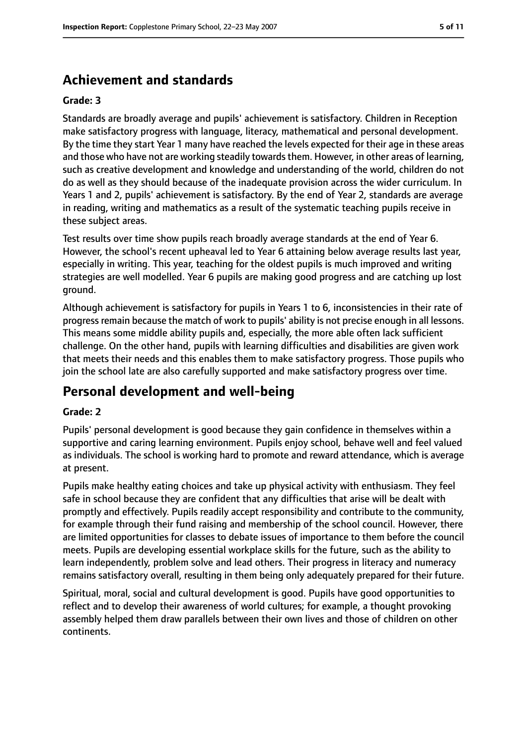### **Achievement and standards**

#### **Grade: 3**

Standards are broadly average and pupils' achievement is satisfactory. Children in Reception make satisfactory progress with language, literacy, mathematical and personal development. By the time they start Year 1 many have reached the levels expected for their age in these areas and those who have not are working steadily towards them. However, in other areas of learning, such as creative development and knowledge and understanding of the world, children do not do as well as they should because of the inadequate provision across the wider curriculum. In Years 1 and 2, pupils' achievement is satisfactory. By the end of Year 2, standards are average in reading, writing and mathematics as a result of the systematic teaching pupils receive in these subject areas.

Test results over time show pupils reach broadly average standards at the end of Year 6. However, the school's recent upheaval led to Year 6 attaining below average results last year, especially in writing. This year, teaching for the oldest pupils is much improved and writing strategies are well modelled. Year 6 pupils are making good progress and are catching up lost ground.

Although achievement is satisfactory for pupils in Years 1 to 6, inconsistencies in their rate of progress remain because the match of work to pupils' ability is not precise enough in all lessons. This means some middle ability pupils and, especially, the more able often lack sufficient challenge. On the other hand, pupils with learning difficulties and disabilities are given work that meets their needs and this enables them to make satisfactory progress. Those pupils who join the school late are also carefully supported and make satisfactory progress over time.

### **Personal development and well-being**

#### **Grade: 2**

Pupils' personal development is good because they gain confidence in themselves within a supportive and caring learning environment. Pupils enjoy school, behave well and feel valued as individuals. The school is working hard to promote and reward attendance, which is average at present.

Pupils make healthy eating choices and take up physical activity with enthusiasm. They feel safe in school because they are confident that any difficulties that arise will be dealt with promptly and effectively. Pupils readily accept responsibility and contribute to the community, for example through their fund raising and membership of the school council. However, there are limited opportunities for classes to debate issues of importance to them before the council meets. Pupils are developing essential workplace skills for the future, such as the ability to learn independently, problem solve and lead others. Their progress in literacy and numeracy remains satisfactory overall, resulting in them being only adequately prepared for their future.

Spiritual, moral, social and cultural development is good. Pupils have good opportunities to reflect and to develop their awareness of world cultures; for example, a thought provoking assembly helped them draw parallels between their own lives and those of children on other continents.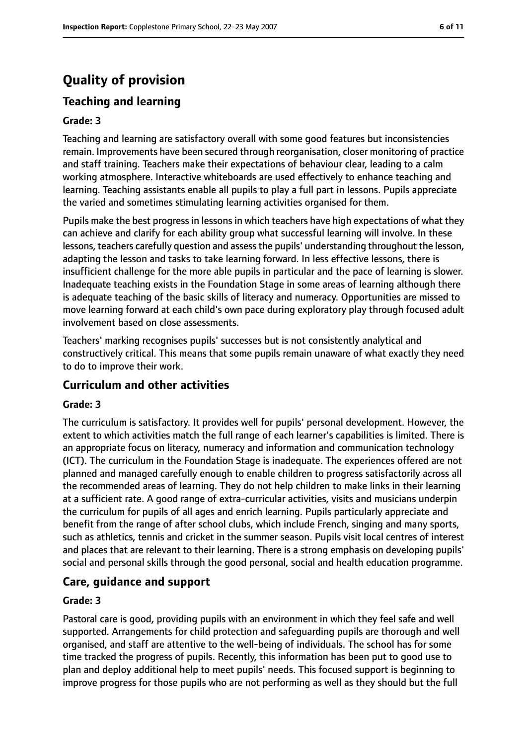## **Quality of provision**

### **Teaching and learning**

#### **Grade: 3**

Teaching and learning are satisfactory overall with some good features but inconsistencies remain. Improvements have been secured through reorganisation, closer monitoring of practice and staff training. Teachers make their expectations of behaviour clear, leading to a calm working atmosphere. Interactive whiteboards are used effectively to enhance teaching and learning. Teaching assistants enable all pupils to play a full part in lessons. Pupils appreciate the varied and sometimes stimulating learning activities organised for them.

Pupils make the best progress in lessons in which teachers have high expectations of what they can achieve and clarify for each ability group what successful learning will involve. In these lessons, teachers carefully question and assess the pupils' understanding throughout the lesson, adapting the lesson and tasks to take learning forward. In less effective lessons, there is insufficient challenge for the more able pupils in particular and the pace of learning is slower. Inadequate teaching exists in the Foundation Stage in some areas of learning although there is adequate teaching of the basic skills of literacy and numeracy. Opportunities are missed to move learning forward at each child's own pace during exploratory play through focused adult involvement based on close assessments.

Teachers' marking recognises pupils' successes but is not consistently analytical and constructively critical. This means that some pupils remain unaware of what exactly they need to do to improve their work.

#### **Curriculum and other activities**

#### **Grade: 3**

The curriculum is satisfactory. It provides well for pupils' personal development. However, the extent to which activities match the full range of each learner's capabilities is limited. There is an appropriate focus on literacy, numeracy and information and communication technology (ICT). The curriculum in the Foundation Stage is inadequate. The experiences offered are not planned and managed carefully enough to enable children to progress satisfactorily across all the recommended areas of learning. They do not help children to make links in their learning at a sufficient rate. A good range of extra-curricular activities, visits and musicians underpin the curriculum for pupils of all ages and enrich learning. Pupils particularly appreciate and benefit from the range of after school clubs, which include French, singing and many sports, such as athletics, tennis and cricket in the summer season. Pupils visit local centres of interest and places that are relevant to their learning. There is a strong emphasis on developing pupils' social and personal skills through the good personal, social and health education programme.

#### **Care, guidance and support**

#### **Grade: 3**

Pastoral care is good, providing pupils with an environment in which they feel safe and well supported. Arrangements for child protection and safeguarding pupils are thorough and well organised, and staff are attentive to the well-being of individuals. The school has for some time tracked the progress of pupils. Recently, this information has been put to good use to plan and deploy additional help to meet pupils' needs. This focused support is beginning to improve progress for those pupils who are not performing as well as they should but the full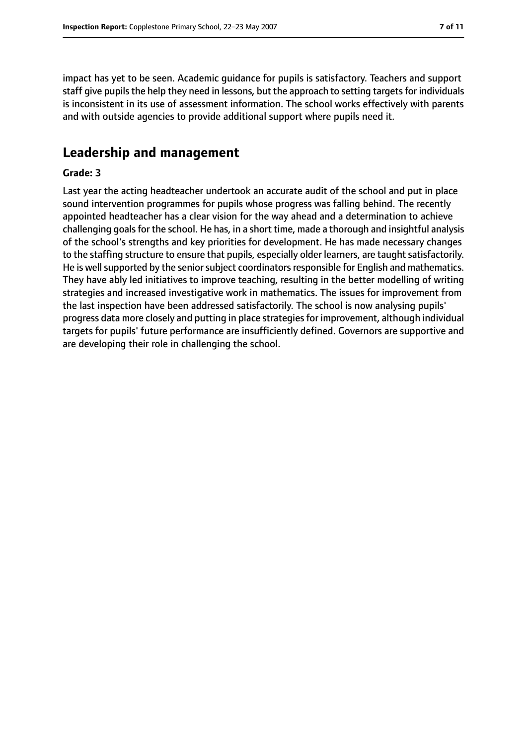impact has yet to be seen. Academic guidance for pupils is satisfactory. Teachers and support staff give pupils the help they need in lessons, but the approach to setting targets for individuals is inconsistent in its use of assessment information. The school works effectively with parents and with outside agencies to provide additional support where pupils need it.

### **Leadership and management**

#### **Grade: 3**

Last year the acting headteacher undertook an accurate audit of the school and put in place sound intervention programmes for pupils whose progress was falling behind. The recently appointed headteacher has a clear vision for the way ahead and a determination to achieve challenging goalsfor the school. He has, in a short time, made a thorough and insightful analysis of the school's strengths and key priorities for development. He has made necessary changes to the staffing structure to ensure that pupils, especially older learners, are taught satisfactorily. He is well supported by the senior subject coordinators responsible for English and mathematics. They have ably led initiatives to improve teaching, resulting in the better modelling of writing strategies and increased investigative work in mathematics. The issues for improvement from the last inspection have been addressed satisfactorily. The school is now analysing pupils' progress data more closely and putting in place strategies for improvement, although individual targets for pupils' future performance are insufficiently defined. Governors are supportive and are developing their role in challenging the school.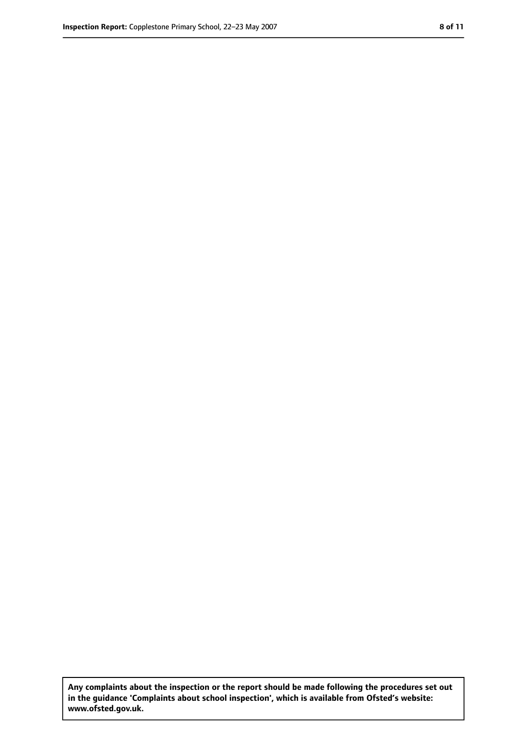**Any complaints about the inspection or the report should be made following the procedures set out in the guidance 'Complaints about school inspection', which is available from Ofsted's website: www.ofsted.gov.uk.**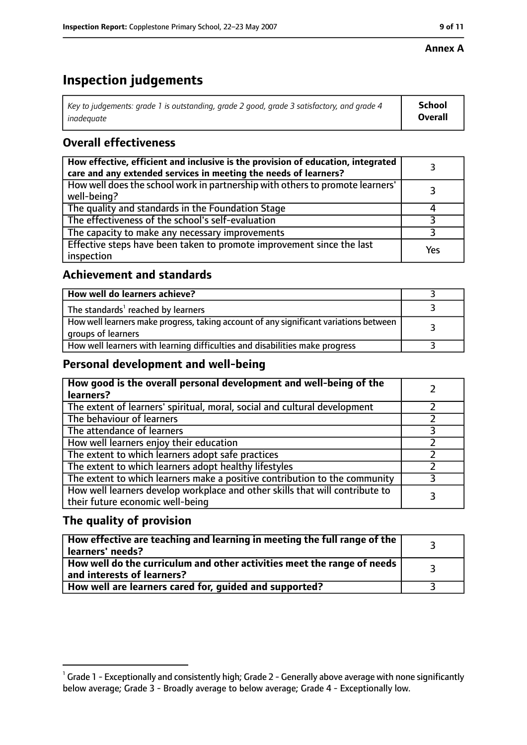#### **Annex A**

## **Inspection judgements**

| Key to judgements: grade 1 is outstanding, grade 2 good, grade 3 satisfactory, and grade 4 $\,$ | <b>School</b>  |
|-------------------------------------------------------------------------------------------------|----------------|
| inadequate                                                                                      | <b>Overall</b> |

### **Overall effectiveness**

| How effective, efficient and inclusive is the provision of education, integrated<br>care and any extended services in meeting the needs of learners? |     |
|------------------------------------------------------------------------------------------------------------------------------------------------------|-----|
| How well does the school work in partnership with others to promote learners'<br>well-being?                                                         |     |
| The quality and standards in the Foundation Stage                                                                                                    |     |
| The effectiveness of the school's self-evaluation                                                                                                    |     |
| The capacity to make any necessary improvements                                                                                                      |     |
| Effective steps have been taken to promote improvement since the last<br>inspection                                                                  | Yes |

### **Achievement and standards**

| How well do learners achieve?                                                                               |  |
|-------------------------------------------------------------------------------------------------------------|--|
| The standards <sup>1</sup> reached by learners                                                              |  |
| How well learners make progress, taking account of any significant variations between<br>groups of learners |  |
| How well learners with learning difficulties and disabilities make progress                                 |  |

### **Personal development and well-being**

| How good is the overall personal development and well-being of the<br>learners?                                  |  |
|------------------------------------------------------------------------------------------------------------------|--|
| The extent of learners' spiritual, moral, social and cultural development                                        |  |
| The behaviour of learners                                                                                        |  |
| The attendance of learners                                                                                       |  |
| How well learners enjoy their education                                                                          |  |
| The extent to which learners adopt safe practices                                                                |  |
| The extent to which learners adopt healthy lifestyles                                                            |  |
| The extent to which learners make a positive contribution to the community                                       |  |
| How well learners develop workplace and other skills that will contribute to<br>their future economic well-being |  |

### **The quality of provision**

| How effective are teaching and learning in meeting the full range of the<br>learners' needs?          |  |
|-------------------------------------------------------------------------------------------------------|--|
| How well do the curriculum and other activities meet the range of needs<br>and interests of learners? |  |
| How well are learners cared for, guided and supported?                                                |  |

 $^1$  Grade 1 - Exceptionally and consistently high; Grade 2 - Generally above average with none significantly below average; Grade 3 - Broadly average to below average; Grade 4 - Exceptionally low.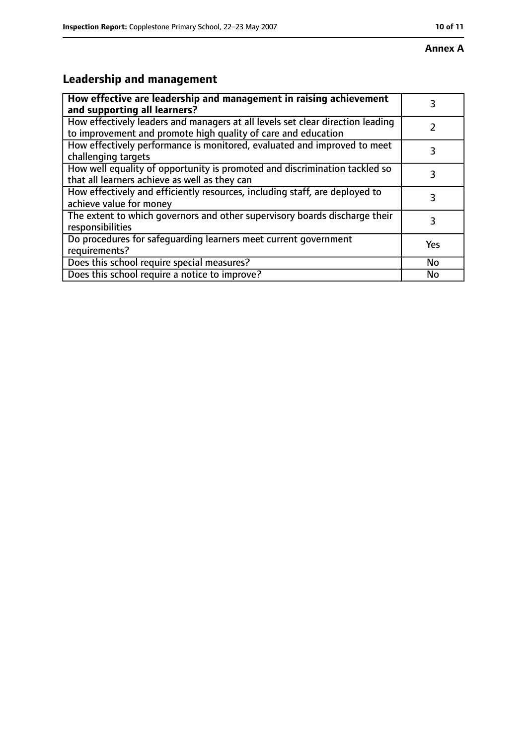## **Leadership and management**

| How effective are leadership and management in raising achievement<br>and supporting all learners?                                              | 3   |
|-------------------------------------------------------------------------------------------------------------------------------------------------|-----|
| How effectively leaders and managers at all levels set clear direction leading<br>to improvement and promote high quality of care and education |     |
| How effectively performance is monitored, evaluated and improved to meet<br>challenging targets                                                 | 3   |
| How well equality of opportunity is promoted and discrimination tackled so<br>that all learners achieve as well as they can                     | 3   |
| How effectively and efficiently resources, including staff, are deployed to<br>achieve value for money                                          | 3   |
| The extent to which governors and other supervisory boards discharge their<br>responsibilities                                                  | 3   |
| Do procedures for safequarding learners meet current government<br>requirements?                                                                | Yes |
| Does this school require special measures?                                                                                                      | No  |
| Does this school require a notice to improve?                                                                                                   | Nο  |